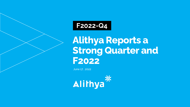## **F2022-Q4**

**Alithya Reports a Strong Quarter and F2022**

June 17 , 2022

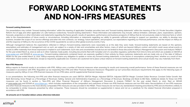## **FORWARD LOOKING STATEMENTS AND NON-IFRS MEASURES**

#### **Forward Looking Statements**

Our presentations may contain "forward-looking information" within the meaning of applicable Canadian securities laws and "forward-looking statements" within the meaning of the U.S. Private Securities Litigation Reform Act of 1995 and other applicable U.S. safe harbours (collectively "forward-looking statements"). These information and statements may include, without limitation, estimates, plans, expectations, opinions, forecasts, projections or other information and statements regarding the future growth, results of operations, performance and business prospects of Alithya that do not exclusively relate to historical facts or which refer to the characterizations of future events or circumstances, including information or statements regarding our ability to generate sufficient earnings to support our operations, our ability to develop new business, broaden the scope of our service offerings and enter into new contracts, our strategy, future operations, and prospects, our expectations regarding our financial performance, and the impact on Alithya of, and the response of Alithya to, the occurrence of the COVID-19 pandemic as well as other global economy events, if any.

Although management believes the expectations reflected in Alithya's forward-looking statements were reasonable as at the date they were made, forward-looking statements are based on the opinions, assumptions and estimates of management and, as such, are subject to a variety of risks and uncertainties and other factors, many of which are beyond Alithya's control, and which could cause actual events or results to differ materially from those expressed or implied in such statements. Such risks and uncertainties include but are not limited to those discussed in Alithya's Management's Discussion and Analysis ("MD&A") for the year ended March 31, 2022 as well as in other materials made public, including documents filed with Canadian and U.S. securities regulatory authorities from time to time and which are available on SEDAR at [www.sedar.com](http://www.sedar.com/) and EDGAR at [www.sec.gov](http://www.sec.gov/). Forward-looking statements contained herein are expressly qualified in their entirety by these cautionary statements and are made only as of the date of Alithya's MD&A for the year ended March 31, 2022. Alithya expressly disclaims any obligation to update or revise any forward-looking statements, or the factors or assumptions underlying them, whether as a result of new information, future events or otherwise, except as required by applicable law. Investors are cautioned not to place undue reliance on forward-looking statements since actual results may vary materially from them.

#### **Non-IFRS Measures**

Alithya reports its financial results in accordance with IFRS. Alithya uses a number of financial measures when assessing its results and measuring overall performance. Some of these financial measures are not calculated in accordance with IFRS. Regulation 52-112 respecting Non-IFRS and Other Financial Measures Disclosure ("Regulation 52-112") prescribes disclosure requirements that apply to the following types of measures used by Alithya: (i) non-IFRS financial measures; (ii) non-IFRS ratios; and (iii) supplemental financial measures.

In our presentations, the following non-IFRS and other financial measures are used: EBITDA; EBITDA Margin; Adjusted EBITDA; Adjusted EBITDA Margin; Constant Dollar Revenue; Constant Dollar Growth; Net Bank Borrowing; Gross Margin as a Percentage of Revenues; Selling, General and Administrative Expenses as a Percentage of Revenues; Bookings and Book-to-Bill Ratio. Additional details for these non-IFRS measures can be found in section 5, "Non-IFRS and Other Financial Measures" of Alithya's Management Discussion & Analysis ("MD&A") for the year ended March 31, 2022, filed on SEDAR at [www.sedar.com](http://www.sedar.com/) and EDGAR at [www.edgar.gov](http://www.edgar.gov), which includes explanations of the composition and usefulness of these non IFRS financial measures and non IFRS ratios. Reconciliations of non-IFRS measures and other financial measures to the most directly comparable IFRS measures are also provided in the MD&A. These measures do not have any standardized meaning prescribed by IFRS and are therefore unlikely to be comparable to similar measures presented by other companies. These measures should be considered as supplemental in nature and not as a substitute for the related financial information prepared in accordance with IFRS.

#### **All amounts are in Canadian dollars unless otherwise indicated.**

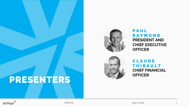

**PRESENTERS**



### **P A U L R A Y M O N D PRESIDENT AND CHIEF EXECUTIVE OFFICER**



### **C L A U D E T H I B A U L T CHIEF FINANCIAL OFFICER**



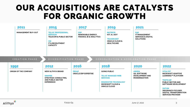## **OUR ACQUISITIONS ARE CATALYSTS FOR ORGANIC GROWTH**

| 2011<br><b>MANAGEMENT BUY-OUT</b>                      | 2015<br><b>TELUS' PROFESSIONAL</b><br><b>SERVICES</b><br><b>TELECOM &amp; PUBLIC SECTOR</b><br><b>OSI</b><br><b>IT &amp; RECRUITMENT</b><br><b>CAPACITY</b>  | 2017<br><b>SWI</b><br><b>RENEWABLE ENERGY,</b><br><b>FINANCE, BI &amp; ANALYTICS</b> | 2019<br><b>MATRICIS</b><br>IOT, IA, AIOT<br><b>TRAVERCENT</b><br><b>ORACLE CLOUD &amp;</b><br><b>HEALTHCARE</b>                                                                                         | 2021<br>R <sub>3</sub> D<br><b>IT MANAGEMENT</b><br><b>SERVICES &amp; DIGITAL</b><br><b>SOLUTIONS</b> |                                                                                                                                                                                                                                                                   |
|--------------------------------------------------------|--------------------------------------------------------------------------------------------------------------------------------------------------------------|--------------------------------------------------------------------------------------|---------------------------------------------------------------------------------------------------------------------------------------------------------------------------------------------------------|-------------------------------------------------------------------------------------------------------|-------------------------------------------------------------------------------------------------------------------------------------------------------------------------------------------------------------------------------------------------------------------|
| CREATION PHASE<br>1992<br><b>ORIGIN OF THE COMPANY</b> | DIVERSIFICATION PHASE<br>2012<br><b>NEW ALITHYA BRAND</b><br><b>SINAPSE</b><br><b>STRATEGIC CONSULTING.</b><br><b>AND PUBLIC SECTOR</b><br><b>EXPERIENCE</b> | 2016<br><b>PRO2P</b><br><b>ORACLE ERP EXPERTISE</b>                                  | CONSOLIDATION & ACCELERATION PHASE<br>2018<br><b>GOING PUBLIC</b><br><b>TELUS' MANAGED WEB</b><br><b>SERVICES</b><br><b>EDGEWATER TECHNOLOGY</b><br><b>MICROSOFT CLOUD &amp;</b><br><b>ORACLE CLOUD</b> | 2020<br><b>ASKIDA</b><br><b>QA. SOFTWARE</b><br><b>DEVELOPMENT AND</b><br><b>MODERNIZATION</b>        | 2022<br><b>VITALYST</b><br><b>MICROSOFT ADAPTIVE</b><br><b>LEARNING™ PLATFORM</b><br><b>TRAFIC3W</b><br><b>PUBLIC SECTOR AND</b><br>SOFTWARE DEVELOPMENT<br><b>DATUM</b><br><b>INSURANCE-FOCUSED</b><br><b>DIGITAL TRANSFORMATION</b><br><b>SERVICES PROVIDER</b> |

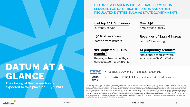## **DATUM AT A GLANCE**

**The closing of the transaction is** 

### **DATUM IS A LEADER IN DIGITAL TRANSFORMATION SERVICES FOR DATA-RICH INSURERS AND OTHER REGULATED ENTITIES SUCH AS STATE GOVERNMENTS**

### **6 of top 10 U.S. insurers**

currently served

### **+90% of revenues**

derived from insurers

### **32% Adjusted EBITDA margin**(1)

thereby enhancing Alithya's consolidated margin profile

### **Over 150**

employees globally

### **Revenues of \$22.7M in 2021**

with >40% recurring

### **14 proprietary products**

and cloud-based software as a service (SaaS) offering



- > Gold Level ECM and BPM Specialty Partner of IBM
- > PEGA 6 and PEGA 7 platform products, and PEGA frameworks

**expected to take place on July 1, 2022** 1. This is a non-IFRS financial measure without a standardized definition under IFRS, which may not be comparable to similar measures used by other issuers. "Adjusted EBITDA" refers issuers. "Adjusted EBITDA" refers to net income before adjusting for income tax expense (recovery), net financial expenses, foreign exchange, amortization of intangibles, depreciation of property and equipment and right-off-use assets, impairment of intangibles and goodwill, share-based compensation, business acquisition, integration and reorganization costs, internal ERP systems implementation, and other redundant and non-recurring items, as well as elements which will no longer occur, or at varying amounts, following the closing of the Datum acquisition by Alithya."Adjusted EBITDA Margin" refers to the percentage of total revenue that Adjusted EBITDA represents for a given period. Management believes that Adjusted EBITDA and Adjusted EBITDA Margin provide an indication of the results generated by Datum's main business activities prior to taking into consideration those items listed above. The Datum historical financial statements and information are unaudited.

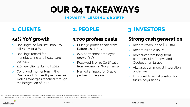## **OUR Q4 TAKEAWAYS**

### **I N D U S T R Y - L E A D I N G G R O W T H**

## **54% YoY growth**

- Bookings<sup>(1)</sup> of \$107.2M, book-tobill ratio $(1)$  of 0.89
- > Bookings record for manufacturing and healthcare verticals
- > 120 new clients during F2022
- Continued momentum in the Oracle and Microsoft practices, as well as synergies reached through the integration of R3D

## **3,700 professionals**

- > Plus 150 professionals from Datum, as at July 1
- > 29% permanent employee growth YoY
- > Received Bronze Certification from Women in Governance
- > Named a finalist for Oracle partner of the year

## **1. CLIENTS 2. PEOPLE 3. INVESTORS**

## **Strong cash generation**

- Record revenues of \$120.0M
- > Record billable hours
- > Revenues from long-term contracts with Beneva and Québecor on target
- > Vitalyst's commercial integration underway
- > Improved financial position for future acquisitions

<sup>(1)</sup> This is a supplemental financial measure. Please refer to the "Forward-Looking Information and Non-IFRS Measures" section of this presentation and to section 5 titled "Non-IFRS and Other Financial Measures" of the MD&A for an explanation of the composition of this supplemental financial measure

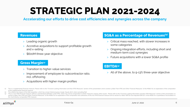# **STRATEGIC PLAN 2021-2024**

**Accelerating our efforts to drive cost efficiencies and synergies across the company**

### **Revenues**

- > Leading organic growth
- > Accretive acquisitions to support profitable growth and x-selling
- \$600M three-year objective

### **Gross Margin(2)**

- > Transition to higher-value services
- > Improvement of employee to subcontractor ratio, incl. offshoring
- > Acquisitions with higher margin profiles

### **SG&A as a Percentage of Revenues(1)**

- > Critical mass reached, with slower increases in some categories
- > Ongoing integration efforts, including short and medium-term cost synergies
- > Future acquisitions with a lower SG&A profile

### **EBITDA(3)**

> All of the above, to 9-13% three-year objective

- This is a supplemental financial measure. Please refer to the "Forward-Looking Information and Non-IFRS Measures" section of this presentation and to section 5 titled "Non-IFRS and Other Financial Measures" of the MD&A for of this supplemental financial measure.
- This reflects the impact of the R3D acquisition, which has a lower historical gross margin. Equals 28.1% when excluding R3D.
- This is a non-IFRS financial measure without a standardized definition under IFRS, which may not be comparable to similar measures used by other issuers. Please refer to the "Forward-Looking Information and Non-IFRS Measur section 5 titled "Non-IFRS and Other Financial Measures" of the MD&A for an explanation of the composition and usefulness of this non-IFRS financial measure and to section 8.7 titled "EBITDA and Adjusted EBITDA" of the MD& the most directly comparable IFRS measure.

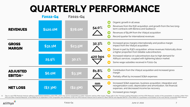## **QUARTERLY PERFORMANCE**

|                                     | <b>F2022-Q4</b> | <b>F2021-Q4</b> |         |                                                  |                                                                                                                                                                                                                                             |
|-------------------------------------|-----------------|-----------------|---------|--------------------------------------------------|---------------------------------------------------------------------------------------------------------------------------------------------------------------------------------------------------------------------------------------------|
| <b>REVENUES</b>                     | \$120.0M        | \$78.0M         | 54.0%   | $\blacksquare$                                   | Organic growth in all areas<br>Revenues from the R3D acquisition, and growth from the two long-<br>term contracts with Beneva and Québecor<br>Revenues of \$5.0M from the Vitalyst acquisition<br>Record quarter for international revenues |
| <b>GROSS</b><br><b>MARGIN</b>       | \$31.1M         | \$23.5M         | 32.3%   | $\blacktriangledown$                             | Increased gross margins internationally and positive margin<br>impact from the Vitalyst acquisition<br>Driven in part by R3D's acquisition, whose revenues historically show<br>a higher proportion from billable subcontractors            |
|                                     | 25.9%           | 30.1%           | 420 bps | $\blacktriangledown$<br>$\blacktriangledown$     | Increased reliance on subcontractors due to high demand for<br>Alithya's services, coupled with tightening labour market<br>Some wage subsidies received in F2021-Q4                                                                        |
| <b>ADJUSTED</b><br><b>EBITDA(1)</b> | \$6.0M          | \$3.3M          | 81.8%   | $\blacksquare$<br>margin<br>$\blacktriangledown$ | Contribution from the Vitalyst acquisition and increased gross<br>Partially offset by increased SG&A expenses                                                                                                                               |
| <b>NET LOSS</b>                     | (S7.3M)         | (S2.5M)         | nm      | C                                                | Increased SG&A expenses, business acquisition, integration and<br>reorganization costs, depreciation and amortization, net financial<br>expenses, and decreased income tax recovery<br>Increased gross margin                               |

(1) This is a non-IFRS financial measure without a standardized definition under IFRS, which may not be comparable to similar measures used by other issuers. Please refer to the "Forward-Looking Information and Non-IFRS Me TRS and Other Financial Measures" of the MD&A for a explanation of the composition and usefulness of this non-IFRS financial measure and to section 8.7 titled "EBITDA" of the MD&A for a quantitative reconciliation to the m

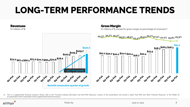# **LONG-TERM PERFORMANCE TRENDS**



(1) This is a supplemental financial measure. Please refer to the "Forward-Looking Information and Non-IFRS Measures" section of this presentation and section 5 titled "Non-IFRS and Other Financial Measures" of the MD&A for an explanation of the composition of this supplemental financial measure..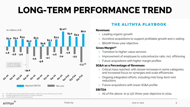# **LONG-TERM PERFORMANCE TREND**



This reflects the impact of the R3D acquisition, which has a lower historical gross margin.

Includes forgiveness of PPP loans in an amount of \$5.9M.

(3) Includes \$6.1M of non-recurring expenses.

### Alifhya

### **THE ALITHYA PLAYBOOK**

### **Revenues**

- > Leading organic growth
- > Accretive acquisitions to support profitable growth and x-selling
- > \$600M three-year objective

### **Gross Margin(1)**

- > Transition to higher-value services
- > Improvement of employee to subcontractor ratio, incl. offshoring
- > Future acquisitions with higher margin profiles

### **SG&A as a Percentage of Revenues**

- > Critical mass reached, with slower increases in some categories, and increased focus on synergies and scale efficiencies
- > Ongoing integration efforts, including mid/long-term rent reductions
- > Future acquisitions with lower SG&A profile

### **EBITDA**

> All of the above, to 9-13% three-year objective to 2024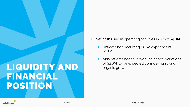# **LIQUIDITY AND FINANCIAL POSITION**

- > Net cash used in operating activities in Q4 0f **\$4.8M**
	- > Reflects non-recurring SG&A expenses of \$6.1M
	- > Also reflects negative working capital variations of \$2.6M, to be expected considering strong organic growth

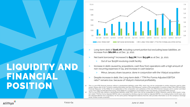

- Long-term debt of \$106.7M, including current portion but excluding lease liabilities, an increase from **\$61.6M** as at Dec. 31, 2021
- Net bank borrowing<sup>(1)</sup> increased to **\$45.7M**, from **\$13.9M** as at Dec. 31, 2021
	- > Out of our \$125M revolving credit facility
- Increase in debt caused by acquisitions, cash flow from operations with a high amount of non-recurring expenses in Q4, and increase in cash balance
	- > Minus January share issuance, done in conjunction with the Vitalyst acquisition
- Despite increase in debt, the Long-term debt / TTM Pro Forma Adjusted EBITDA ratio<sup>(2)</sup> remains low, because of Vitalyst's historical profitability
- (1) This is a non-IFRS financial measure without a standardized definition under IFRS, which may not be comparable to similar measures used by other issuers. Please refer to the "Forward-Looking Information and Non-IFRS Measures" section of this presentation, to section 5 titled "Non-IFRS and Other Financial Measures" of the MD&A for an explanation of the composition and usefulness of this non-IFRS financial measure and to section 10.6 titled "Long-Term Debt and Net Bank Borrowing" of the MD&A for a quantitative reconciliation to the most directly comparable IFRS measure.
- (2) This is a non-IFRS ratio without a standardized definition under IFRS, which may not be comparable to similar measures used by other issuers. Longterm debt/TTM Pro Forma Adjusted EBITDA ratio is calculated by dividing Long-term debt by Adjusted EBITDA, on a trailing twelve-month basis, plus the Adjusted EBITDA from acquisitions, for the same period. Management believes that this ratio provides information as to the company's leverage levels, similar to bank covenants.

## **LIQUIDITY AND FINANCIAL POSITION**